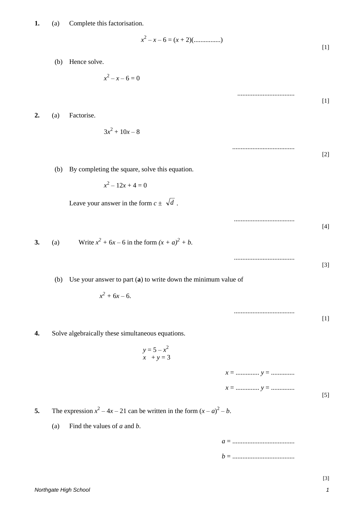$$
x^{2} - x - 6 = (x + 2)(\dots\dots\dots\dots\dots)
$$
\n[1]

..................................

.....................................

....................................

....................................

....................................

[1]

[2]

[3]

[1]

(b) Hence solve.

 $x^2 - x - 6 = 0$ 

**2.** (a) Factorise.

$$
3x^2+10x-8
$$

(b) By completing the square, solve this equation.

$$
x^2 - 12x + 4 = 0
$$

Leave your answer in the form  $c \pm \sqrt{d}$ .

[4] **3.** (a) Write  $x^2 + 6x - 6$  in the form  $(x + a)^2 + b$ .

(b) Use your answer to part (**a**) to write down the minimum value of

$$
x^2+6x-6.
$$

**4.** Solve algebraically these simultaneous equations.

$$
y = 5 - x^2
$$
  

$$
x + y = 3
$$

*x* = .............. *y* = .............. *x* = .............. *y* = .............. [5]

**5.** The expression  $x^2 - 4x - 21$  can be written in the form  $(x - a)^2 - b$ .

(a) Find the values of *a* and *b*.

*a* = ..................................... *b* = .....................................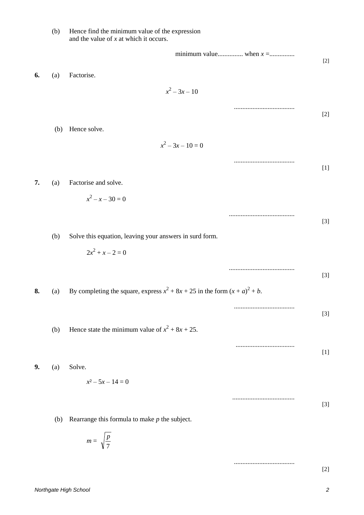|    | (b) | Hence find the minimum value of the expression<br>and the value of $x$ at which it occurs. |                                                                                                                                                          |
|----|-----|--------------------------------------------------------------------------------------------|----------------------------------------------------------------------------------------------------------------------------------------------------------|
|    |     |                                                                                            | $[2]$                                                                                                                                                    |
| 6. | (a) | Factorise.                                                                                 |                                                                                                                                                          |
|    |     | $x^2-3x-10$                                                                                |                                                                                                                                                          |
|    |     |                                                                                            | $[2]$                                                                                                                                                    |
|    | (b) | Hence solve.                                                                               |                                                                                                                                                          |
|    |     | $x^2-3x-10=0$                                                                              |                                                                                                                                                          |
|    |     |                                                                                            | $[1] % \includegraphics[width=\textwidth]{images/TransY.pdf} \caption{The first two different values of the estimators in the image.} \label{fig:class}$ |
| 7. | (a) | Factorise and solve.                                                                       |                                                                                                                                                          |
|    |     | $x^2 - x - 30 = 0$                                                                         |                                                                                                                                                          |
|    |     |                                                                                            | $[3]$                                                                                                                                                    |
|    | (b) | Solve this equation, leaving your answers in surd form.                                    |                                                                                                                                                          |
|    |     | $2x^2 + x - 2 = 0$                                                                         |                                                                                                                                                          |
|    |     |                                                                                            | $[3]$                                                                                                                                                    |
| 8. | (a) | By completing the square, express $x^2 + 8x + 25$ in the form $(x + a)^2 + b$ .            |                                                                                                                                                          |
|    |     |                                                                                            | $[3]$                                                                                                                                                    |
|    | (b) | Hence state the minimum value of $x^2 + 8x + 25$ .                                         |                                                                                                                                                          |
|    |     |                                                                                            | $[1]$                                                                                                                                                    |
| 9. | (a) | Solve.                                                                                     |                                                                                                                                                          |
|    |     | $x^2 - 5x - 14 = 0$                                                                        |                                                                                                                                                          |
|    |     |                                                                                            | $[3]$                                                                                                                                                    |
|    | (b) | Rearrange this formula to make $p$ the subject.                                            |                                                                                                                                                          |
|    |     | $m = \sqrt{\frac{p}{7}}$                                                                   |                                                                                                                                                          |
|    |     |                                                                                            | $[2]$                                                                                                                                                    |
|    |     |                                                                                            |                                                                                                                                                          |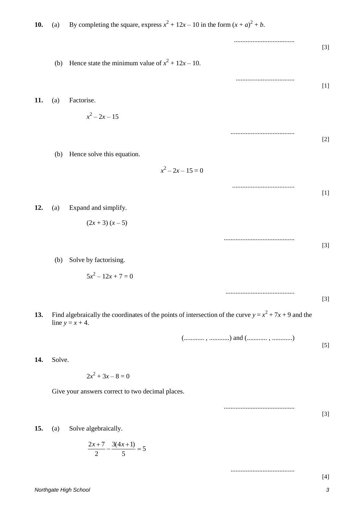| 10. | (a)    | By completing the square, express $x^2 + 12x - 10$ in the form $(x + a)^2 + b$ .                                               |       |
|-----|--------|--------------------------------------------------------------------------------------------------------------------------------|-------|
|     |        |                                                                                                                                | $[3]$ |
|     | (b)    | Hence state the minimum value of $x^2 + 12x - 10$ .                                                                            |       |
|     |        |                                                                                                                                | $[1]$ |
| 11. | (a)    | Factorise.                                                                                                                     |       |
|     |        | $x^2-2x-15$                                                                                                                    |       |
|     |        |                                                                                                                                | $[2]$ |
|     | (b)    | Hence solve this equation.                                                                                                     |       |
|     |        | $x^2-2x-15=0$                                                                                                                  |       |
|     |        |                                                                                                                                | $[1]$ |
| 12. | (a)    | Expand and simplify.                                                                                                           |       |
|     |        | $(2x+3)(x-5)$                                                                                                                  |       |
|     |        |                                                                                                                                |       |
|     |        |                                                                                                                                | $[3]$ |
|     | (b)    | Solve by factorising.                                                                                                          |       |
|     |        | $5x^2 - 12x + 7 = 0$                                                                                                           |       |
|     |        |                                                                                                                                | $[3]$ |
| 13. |        | Find algebraically the coordinates of the points of intersection of the curve $y = x^2 + 7x + 9$ and the<br>line $y = x + 4$ . |       |
|     |        |                                                                                                                                |       |
| 14. | Solve. |                                                                                                                                | $[5]$ |
|     |        | $2x^2 + 3x - 8 = 0$                                                                                                            |       |
|     |        | Give your answers correct to two decimal places.                                                                               |       |
|     |        |                                                                                                                                |       |
| 15. | (a)    | Solve algebraically.                                                                                                           | $[3]$ |
|     |        | $\frac{2x+7}{2} - \frac{3(4x+1)}{5} = 5$                                                                                       |       |

[4]

......................................